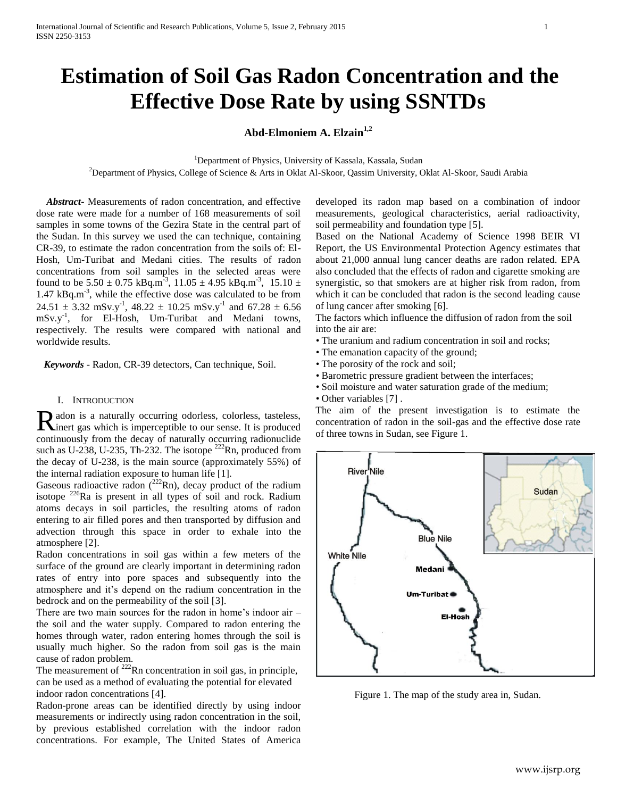# **Estimation of Soil Gas Radon Concentration and the Effective Dose Rate by using SSNTDs**

## **Abd-Elmoniem A. Elzain1,2**

<sup>1</sup>Department of Physics, University of Kassala, Kassala, Sudan

<sup>2</sup>Department of Physics, College of Science & Arts in Oklat Al-Skoor, Qassim University, Oklat Al-Skoor, Saudi Arabia

 *Abstract***-** Measurements of radon concentration, and effective dose rate were made for a number of 168 measurements of soil samples in some towns of the Gezira State in the central part of the Sudan. In this survey we used the can technique, containing CR-39, to estimate the radon concentration from the soils of: El-Hosh, Um-Turibat and Medani cities. The results of radon concentrations from soil samples in the selected areas were found to be  $5.50 \pm 0.75 \text{ kBq.m}^{-3}$ ,  $11.05 \pm 4.95 \text{ kBq.m}^{-3}$ ,  $15.10 \pm 1.05 \text{ fbq.m}^{-3}$ 1.47 kBq.m<sup>-3</sup>, while the effective dose was calculated to be from  $24.51 \pm 3.32$  mSv.y<sup>-1</sup>,  $48.22 \pm 10.25$  mSv.y<sup>-1</sup> and  $67.28 \pm 6.56$ mSv.y<sup>-1</sup>, for El-Hosh, Um-Turibat and Medani towns, respectively. The results were compared with national and worldwide results.

 *Keywords* - Radon, CR-39 detectors, Can technique, Soil.

#### I. INTRODUCTION

adon is a naturally occurring odorless, colorless, tasteless, Radon is a naturally occurring odorless, colorless, tasteless, there is a which is imperceptible to our sense. It is produced continuously from the decay of naturally occurring radionuclide such as U-238, U-235, Th-232. The isotope  $^{222}$ Rn, produced from the decay of U-238, is the main source (approximately 55%) of the internal radiation exposure to human life [1].

Gaseous radioactive radon  $(^{222}Rn)$ , decay product of the radium isotope  $226$ Ra is present in all types of soil and rock. Radium atoms decays in soil particles, the resulting atoms of radon entering to air filled pores and then transported by diffusion and advection through this space in order to exhale into the atmosphere [2].

Radon concentrations in soil gas within a few meters of the surface of the ground are clearly important in determining radon rates of entry into pore spaces and subsequently into the atmosphere and it's depend on the radium concentration in the bedrock and on the permeability of the soil [3].

There are two main sources for the radon in home's indoor air – the soil and the water supply. Compared to radon entering the homes through water, radon entering homes through the soil is usually much higher. So the radon from soil gas is the main cause of radon problem.

The measurement of  $^{222}$ Rn concentration in soil gas, in principle, can be used as a method of evaluating the potential for elevated indoor radon concentrations [4].

Radon-prone areas can be identified directly by using indoor measurements or indirectly using radon concentration in the soil, by previous established correlation with the indoor radon concentrations. For example, The United States of America

developed its radon map based on a combination of indoor measurements, geological characteristics, aerial radioactivity, soil permeability and foundation type [5].

Based on the National Academy of Science 1998 BEIR VI Report, the US Environmental Protection Agency estimates that about 21,000 annual lung cancer deaths are radon related. EPA also concluded that the effects of radon and cigarette smoking are synergistic, so that smokers are at higher risk from radon, from which it can be concluded that radon is the second leading cause of lung cancer after smoking [6].

The factors which influence the diffusion of radon from the soil into the air are:

- The uranium and radium concentration in soil and rocks;
- The emanation capacity of the ground;
- The porosity of the rock and soil;
- Barometric pressure gradient between the interfaces;
- Soil moisture and water saturation grade of the medium;
- Other variables [7].

The aim of the present investigation is to estimate the concentration of radon in the soil-gas and the effective dose rate of three towns in Sudan, see Figure 1.



Figure 1. The map of the study area in, Sudan.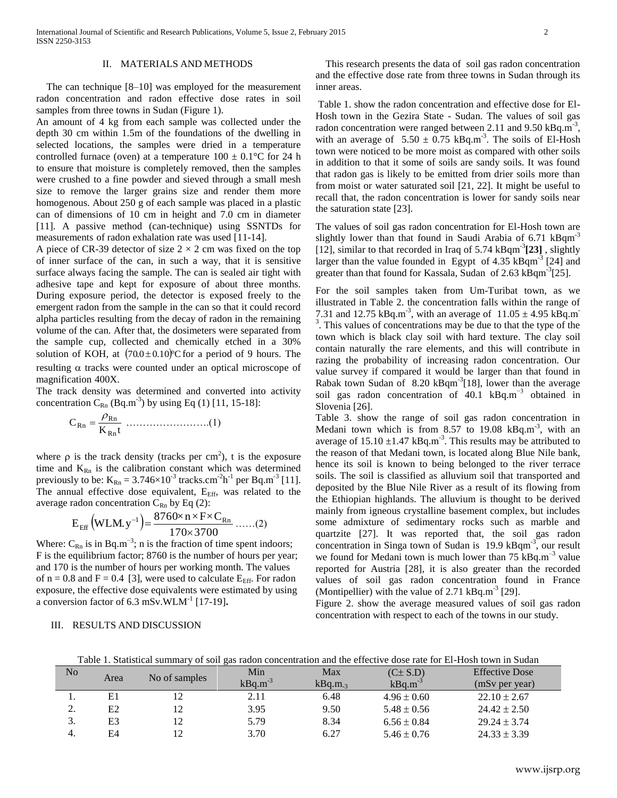### II. MATERIALS AND METHODS

 The can technique [8–10] was employed for the measurement radon concentration and radon effective dose rates in soil samples from three towns in Sudan (Figure 1).

An amount of 4 kg from each sample was collected under the depth 30 cm within 1.5m of the foundations of the dwelling in selected locations, the samples were dried in a temperature controlled furnace (oven) at a temperature  $100 \pm 0.1$ °C for 24 h to ensure that moisture is completely removed, then the samples were crushed to a fine powder and sieved through a small mesh size to remove the larger grains size and render them more homogenous. About 250 g of each sample was placed in a plastic can of dimensions of 10 cm in height and 7.0 cm in diameter [11]. A passive method (can-technique) using SSNTDs for measurements of radon exhalation rate was used [11-14].

A piece of CR-39 detector of size  $2 \times 2$  cm was fixed on the top of inner surface of the can, in such a way, that it is sensitive surface always facing the sample. The can is sealed air tight with adhesive tape and kept for exposure of about three months. During exposure period, the detector is exposed freely to the emergent radon from the sample in the can so that it could record alpha particles resulting from the decay of radon in the remaining volume of the can. After that, the dosimeters were separated from the sample cup, collected and chemically etched in a 30% solution of KOH, at  $(70.0 \pm 0.10)$ °C for a period of 9 hours. The resulting  $\alpha$  tracks were counted under an optical microscope of magnification 400X.

The track density was determined and converted into activity concentration  $C_{\text{Rn}}$  (Bq.m<sup>-3</sup>) by using Eq (1) [11, 15-18]:

K t C Rn Rn Rn …………………….(1)

where  $\rho$  is the track density (tracks per cm<sup>2</sup>), t is the exposure time and  $K_{Rn}$  is the calibration constant which was determined previously to be:  $K_{Rn} = 3.746 \times 10^{-3}$  tracks.cm<sup>-2</sup>h<sup>-1</sup> per Bq.m<sup>-3</sup> [11]. The annual effective dose equivalent, E<sub>Eff</sub>, was related to the average radon concentration  $C_{Rn}$  by Eq (2):

$$
E_{\text{Eff}}(WLM.y^{-1}) = \frac{8760 \times n \times F \times C_{Rn}}{170 \times 3700} \dots (2)
$$

Where:  $C_{\text{Rn}}$  is in Bq.m<sup>-3</sup>; n is the fraction of time spent indoors; F is the equilibrium factor; 8760 is the number of hours per year; and 170 is the number of hours per working month. The values of  $n = 0.8$  and  $F = 0.4$  [3], were used to calculate  $E_{\text{Eff}}$ . For radon exposure, the effective dose equivalents were estimated by using a conversion factor of 6.3 mSv.WLM<sup>-1</sup> [17-19].

#### III. RESULTS AND DISCUSSION

 This research presents the data of soil gas radon concentration and the effective dose rate from three towns in Sudan through its inner areas.

Table 1. show the radon concentration and effective dose for El-Hosh town in the Gezira State - Sudan. The values of soil gas radon concentration were ranged between 2.11 and  $9.50 \text{ kBq.m}^3$ , with an average of  $5.50 \pm 0.75$  kBq.m<sup>-3</sup>. The soils of El-Hosh town were noticed to be more moist as compared with other soils in addition to that it some of soils are sandy soils. It was found that radon gas is likely to be emitted from drier soils more than from moist or water saturated soil [21, 22]. It might be useful to recall that, the radon concentration is lower for sandy soils near the saturation state [23].

The values of soil gas radon concentration for El-Hosh town are slightly lower than that found in Saudi Arabia of 6.71 kBqm<sup>-3</sup> [12], similar to that recorded in Iraq of 5.74 kBqm<sup>-3</sup>[23], slightly larger than the value founded in Egypt of  $4.35 \text{ kBqm}^3$  [24] and greater than that found for Kassala, Sudan of 2.63 kBqm<sup>-3</sup>[25].

For the soil samples taken from Um-Turibat town, as we illustrated in Table 2. the concentration falls within the range of 7.31 and 12.75 kBq.m<sup>-3</sup>, with an average of  $11.05 \pm 4.95$  kBq.m<sup>-3</sup> <sup>3</sup>. This values of concentrations may be due to that the type of the town which is black clay soil with hard texture. The clay soil contain naturally the rare elements, and this will contribute in razing the probability of increasing radon concentration. Our value survey if compared it would be larger than that found in Rabak town Sudan of  $8.20 \text{ kBqm}^3[18]$ , lower than the average soil gas radon concentration of 40.1 kBq.m−3 obtained in Slovenia [26].

Table 3. show the range of soil gas radon concentration in Medani town which is from 8.57 to 19.08  $kBq.m^{-3}$ , with an average of  $15.10 \pm 1.47$  kBq.m<sup>-3</sup>. This results may be attributed to the reason of that Medani town, is located along Blue Nile bank, hence its soil is known to being belonged to the river terrace soils. The soil is classified as alluvium soil that transported and deposited by the Blue Nile River as a result of its flowing from the Ethiopian highlands. The alluvium is thought to be derived mainly from igneous crystalline basement complex, but includes some admixture of sedimentary rocks such as marble and quartzite [27]. It was reported that, the soil gas radon concentration in Singa town of Sudan is  $19.9 \text{ kBqm}^3$ , our result we found for Medani town is much lower than  $75 \text{ kBq.m}^{-3}$  value reported for Austria [28], it is also greater than the recorded values of soil gas radon concentration found in France (Montipellier) with the value of  $2.71 \text{ kBq.m}^{-3}$  [29].

Figure 2. show the average measured values of soil gas radon concentration with respect to each of the towns in our study.

Table 1. Statistical summary of soil gas radon concentration and the effective dose rate for El-Hosh town in Sudan

| No | Area           | No of samples | Min<br>$kBq.m^{-3}$ | Max<br>kBq.m.3 | $(C\pm S.D)$<br>$kBq.m^{-3}$ | <b>Effective Dose</b><br>(mSv per year) |
|----|----------------|---------------|---------------------|----------------|------------------------------|-----------------------------------------|
|    |                |               |                     |                |                              |                                         |
| ı. | E1             |               | 2.11                | 6.48           | $4.96 \pm 0.60$              | $22.10 \pm 2.67$                        |
| ۷. | E2             | 12            | 3.95                | 9.50           | $5.48 \pm 0.56$              | $24.42 \pm 2.50$                        |
| J. | E <sub>3</sub> | 12            | 5.79                | 8.34           | $6.56 \pm 0.84$              | $29.24 \pm 3.74$                        |
| 4. | E4             |               | 3.70                | 6.27           | $5.46 \pm 0.76$              | $24.33 \pm 3.39$                        |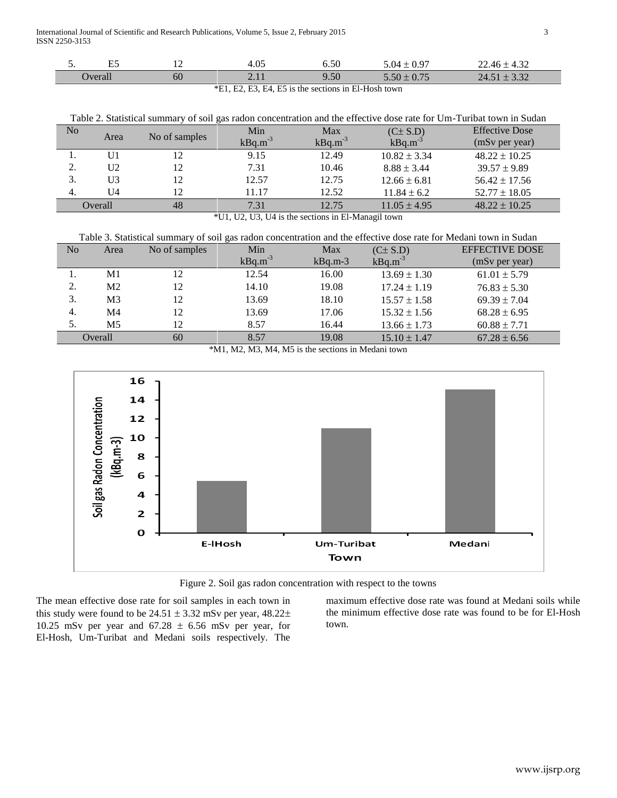Ī

| $\blacksquare$<br><u>.</u><br>⊷ | ∸  | $\Omega$<br>4.0.     | 6.50 | 0.97<br>(1)4                   | $\sim$<br>$22.46 \pm 4$<br>∠د.+ ` |
|---------------------------------|----|----------------------|------|--------------------------------|-----------------------------------|
| 'Jverall                        | 60 | $\sim$<br>$\sim$ 1 1 | 9.50 | $\sim$ $ -$<br>$5.50 \pm 0.75$ | $\sim$<br>24.51<br>J.JZ           |

\*E1, E2, E3, E4, E5 is the sections in El-Hosh town

| Table 2. Statistical summary of soil gas radon concentration and the effective dose rate for Um-Turibat town in Sudan |                |               |              |              |                  |                       |
|-----------------------------------------------------------------------------------------------------------------------|----------------|---------------|--------------|--------------|------------------|-----------------------|
| N <sub>o</sub>                                                                                                        |                |               | Min          | Max          | $(C \pm S.D)$    | <b>Effective Dose</b> |
|                                                                                                                       | Area           | No of samples | $kBq.m^{-3}$ | $kBq.m^{-3}$ | $kBq.m^{-3}$     | (mSv per year)        |
|                                                                                                                       | U1             | 12            | 9.15         | 12.49        | $10.82 \pm 3.34$ | $48.22 \pm 10.25$     |
| 2.                                                                                                                    | U <sub>2</sub> | 12            | 7.31         | 10.46        | $8.88 \pm 3.44$  | $39.57 \pm 9.89$      |
|                                                                                                                       | U3             | 12            | 12.57        | 12.75        | $12.66 \pm 6.81$ | $56.42 \pm 17.56$     |
| 4.                                                                                                                    | U4             | 12            | 11.17        | 12.52        | $11.84 \pm 6.2$  | $52.77 \pm 18.05$     |
| Overall                                                                                                               |                | 48            | 7.31         | 12.75        | $11.05 \pm 4.95$ | $48.22 \pm 10.25$     |
| $\triangle T T 1$ $T T \triangle T T \triangle T T 1 1 1 1$<br>$\cdots$ $\cdots$<br>$\cdot$ 1 $\cdot$                 |                |               |              |              |                  |                       |

\*U1, U2, U3, U4 is the sections in El-Managil town

| Table 3. Statistical summary of soil gas radon concentration and the effective dose rate for Medani town in Sudan |                |               |              |           |                  |                       |
|-------------------------------------------------------------------------------------------------------------------|----------------|---------------|--------------|-----------|------------------|-----------------------|
| N <sub>o</sub>                                                                                                    | Area           | No of samples | Min          | Max       | $(C\pm S.D)$     | <b>EFFECTIVE DOSE</b> |
|                                                                                                                   |                |               | $kBq.m^{-3}$ | $kBq.m-3$ | $kBq.m^{-3}$     | (mSv per year)        |
|                                                                                                                   | M1             | 12            | 12.54        | 16.00     | $13.69 \pm 1.30$ | $61.01 \pm 5.79$      |
| 2.                                                                                                                | M <sub>2</sub> | 12            | 14.10        | 19.08     | $17.24 \pm 1.19$ | $76.83 \pm 5.30$      |
| 3.                                                                                                                | M <sub>3</sub> | 12            | 13.69        | 18.10     | $15.57 \pm 1.58$ | $69.39 \pm 7.04$      |
| 4.                                                                                                                | M4             | 12            | 13.69        | 17.06     | $15.32 \pm 1.56$ | $68.28 \pm 6.95$      |
| 5.                                                                                                                | M5             | 12            | 8.57         | 16.44     | $13.66 \pm 1.73$ | $60.88 \pm 7.71$      |
| Overall                                                                                                           |                | 60            | 8.57         | 19.08     | $15.10 \pm 1.47$ | $67.28 \pm 6.56$      |
|                                                                                                                   |                |               |              |           |                  |                       |

\*M1, M2, M3, M4, M5 is the sections in Medani town



Figure 2. Soil gas radon concentration with respect to the towns

The mean effective dose rate for soil samples in each town in this study were found to be  $24.51 \pm 3.32$  mSv per year,  $48.22 \pm$ 10.25 mSv per year and  $67.28 \pm 6.56$  mSv per year, for El-Hosh, Um-Turibat and Medani soils respectively. The

maximum effective dose rate was found at Medani soils while the minimum effective dose rate was found to be for El-Hosh town.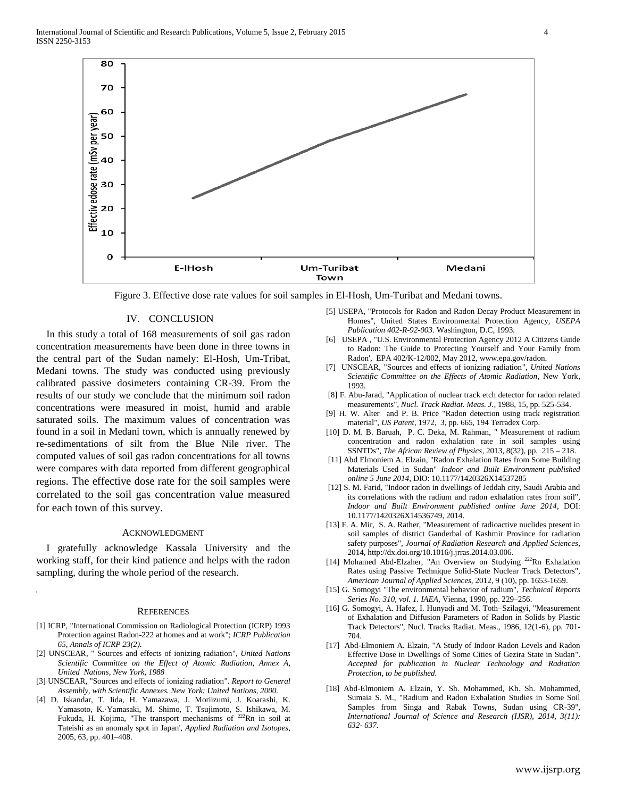International Journal of Scientific and Research Publications, Volume 5, Issue 2, February 2015 4 ISSN 2250-3153



Figure 3. Effective dose rate values for soil samples in El-Hosh, Um-Turibat and Medani towns.

#### IV. CONCLUSION

In this study a total of 168 measurements of soil gas radon concentration measurements have been done in three towns in the central part of the Sudan namely: El-Hosh, Um-Tribat, Medani towns. The study was conducted using previously calibrated passive dosimeters containing CR-39. From the results of our study we conclude that the minimum soil radon concentrations were measured in moist, humid and arable saturated soils. The maximum values of concentration was found in a soil in Medani town, which is annually renewed by re-sedimentations of silt from the Blue Nile river. The computed values of soil gas radon concentrations for all towns were compares with data reported from different geographical regions. The effective dose rate for the soil samples were correlated to the soil gas concentration value measured for each town of this survey.

#### ACKNOWLEDGMENT

I gratefully acknowledge Kassala University and the working staff, for their kind patience and helps with the radon sampling, during the whole period of the research.

#### **REFERENCES**

- [1] ICRP, "International Commission on Radiological Protection (ICRP) 1993 Protection against Radon-222 at homes and at work"; *ICRP Publication 65, Annals of ICRP 23(2).*
- [2] UNSCEAR, " Sources and effects of ionizing radiation", *United Nations Scientific Committee on the Effect of Atomic Radiation, Annex A, United Nations, New York, 1988*
- [3] UNSCEAR, "Sources and effects of ionizing radiation". *Report to General Assembly, with Scientific Annexes. New York: United Nations, 2000.*
- [4] D. Iskandar, T. Iida, H. Yamazawa, J. Moriizumi, J. Koarashi, K. Yamasoto, K.·Yamasaki, M. Shimo, T. Tsujimoto, S. Ishikawa, M. Fukuda, H. Kojima, "The transport mechanisms of  $^{222}$ Rn in soil at Tateishi as an anomaly spot in Japan', *Applied Radiation and Isotopes*, 2005, 63, pp. 401–408.
- [5] USEPA, "Protocols for Radon and Radon Decay Product Measurement in Homes", United States Environmental Protection Agency, *USEPA Publication 402-R-92-003.* Washington, D.C*,* 1993*.*
- [6] USEPA , "U.S. Environmental Protection Agency 2012 A Citizens Guide to Radon: The Guide to Protecting Yourself and Your Family from Radon', EPA 402/K-12/002, May 2012, www.epa.gov/radon.
- [7] UNSCEAR, "Sources and effects of ionizing radiation", *United Nations Scientific Committee on the Effects of Atomic Radiation*, New York, 1993.
- [8] F. Abu-Jarad, "Application of nuclear track etch detector for radon related measurements", *Nucl. Track Radiat. Meas. J.,* 1988, 15, pp. 525-534.
- [9] H. W. Alter and P. B. Price "Radon detection using track registration material", *US Patent*, 1972, 3, pp. 665, 194 Terradex Corp.
- [10] D. M. B. Baruah, P. C. Deka, M. Rahman, " Measurement of radium concentration and radon exhalation rate in soil samples using SSNTDs", *The African Review of Physics*, 2013, 8(32), pp. 215 – 218.
- [11] Abd Elmoniem A. Elzain, "Radon Exhalation Rates from Some Building Materials Used in Sudan" *Indoor and Built Environment published online 5 June 2014*, DIO: 10.1177/1420326X14537285
- [12] S. M. Farid, "Indoor radon in dwellings of Jeddah city, Saudi Arabia and its correlations with the radium and radon exhalation rates from soil", *Indoor and Built Environment published online June 2014*, DOI: 10.1177/1420326X14536749, 2014.
- [13] F. A. Mir, S. A. Rather, "Measurement of radioactive nuclides present in soil samples of district Ganderbal of Kashmir Province for radiation safety purposes", *Journal of Radiation Research and Applied Sciences*, 2014, [http://dx.doi.org/10.1016/j.jrras.2014.03.006.](http://dx.doi.org/10.1016/j.jrras.2014.03.006)
- [14] Mohamed Abd-Elzaher, "An Overview on Studying <sup>222</sup>Rn Exhalation Rates using Passive Technique Solid-State Nuclear Track Detectors", *American Journal of Applied Sciences*, 2012, 9 (10), pp. 1653-1659.
- [15] G. Somogyi "The environmental behavior of radium", *Technical Reports Series No. 310, vol. 1. IAEA*, Vienna, 1990, pp. 229–256.
- [16] G. Somogyi, A. Hafez, I. Hunyadi and M. Toth–Szilagyi, "Measurement of Exhalation and Diffusion Parameters of Radon in Solids by Plastic Track Detectors", Nucl. Tracks Radiat. Meas., 1986, 12(1-6), pp. 701- 704.
- [17] Abd-Elmoniem A. Elzain, "A Study of Indoor Radon Levels and Radon Effective Dose in Dwellings of Some Cities of Gezira State in Sudan". *Accepted for publication in Nuclear Technology and Radiation Protection, to be published.*
- [18] Abd-Elmoniem A. Elzain, Y. Sh. Mohammed, Kh. Sh. Mohammed, Sumaia S. M., "Radium and Radon Exhalation Studies in Some Soil Samples from Singa and Rabak Towns, Sudan using CR-39", *International Journal of Science and Research (IJSR), 2014, 3(11): 632- 637.*